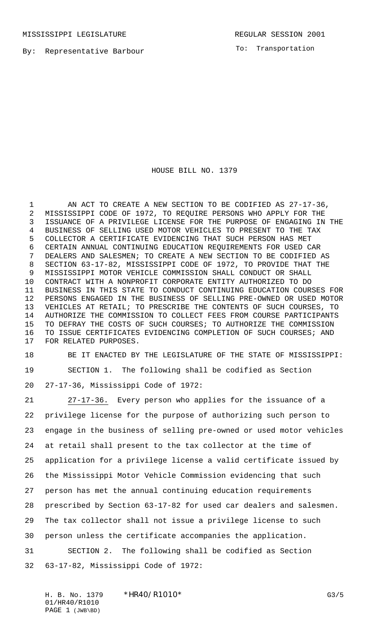MISSISSIPPI LEGISLATURE **REGULAR SESSION 2001** 

By: Representative Barbour

To: Transportation

HOUSE BILL NO. 1379

 AN ACT TO CREATE A NEW SECTION TO BE CODIFIED AS 27-17-36, MISSISSIPPI CODE OF 1972, TO REQUIRE PERSONS WHO APPLY FOR THE ISSUANCE OF A PRIVILEGE LICENSE FOR THE PURPOSE OF ENGAGING IN THE BUSINESS OF SELLING USED MOTOR VEHICLES TO PRESENT TO THE TAX COLLECTOR A CERTIFICATE EVIDENCING THAT SUCH PERSON HAS MET CERTAIN ANNUAL CONTINUING EDUCATION REQUIREMENTS FOR USED CAR DEALERS AND SALESMEN; TO CREATE A NEW SECTION TO BE CODIFIED AS SECTION 63-17-82, MISSISSIPPI CODE OF 1972, TO PROVIDE THAT THE MISSISSIPPI MOTOR VEHICLE COMMISSION SHALL CONDUCT OR SHALL CONTRACT WITH A NONPROFIT CORPORATE ENTITY AUTHORIZED TO DO BUSINESS IN THIS STATE TO CONDUCT CONTINUING EDUCATION COURSES FOR PERSONS ENGAGED IN THE BUSINESS OF SELLING PRE-OWNED OR USED MOTOR VEHICLES AT RETAIL; TO PRESCRIBE THE CONTENTS OF SUCH COURSES, TO AUTHORIZE THE COMMISSION TO COLLECT FEES FROM COURSE PARTICIPANTS TO DEFRAY THE COSTS OF SUCH COURSES; TO AUTHORIZE THE COMMISSION TO ISSUE CERTIFICATES EVIDENCING COMPLETION OF SUCH COURSES; AND FOR RELATED PURPOSES.

 BE IT ENACTED BY THE LEGISLATURE OF THE STATE OF MISSISSIPPI: SECTION 1. The following shall be codified as Section 27-17-36, Mississippi Code of 1972:

 27-17-36. Every person who applies for the issuance of a privilege license for the purpose of authorizing such person to engage in the business of selling pre-owned or used motor vehicles at retail shall present to the tax collector at the time of application for a privilege license a valid certificate issued by the Mississippi Motor Vehicle Commission evidencing that such person has met the annual continuing education requirements prescribed by Section 63-17-82 for used car dealers and salesmen. The tax collector shall not issue a privilege license to such person unless the certificate accompanies the application. SECTION 2. The following shall be codified as Section 63-17-82, Mississippi Code of 1972:

H. B. No. 1379 \* HR40/R1010\* G3/5 01/HR40/R1010 PAGE 1 (JWB\BD)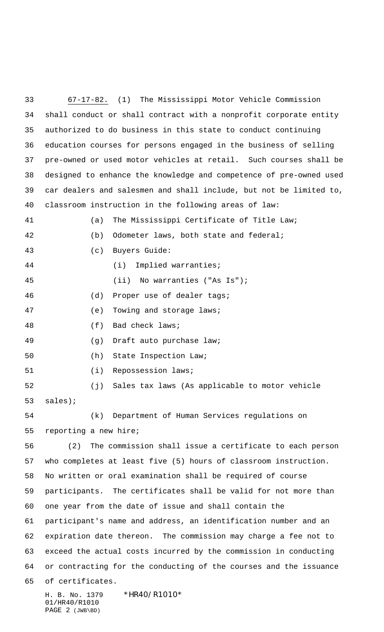H. B. No. 1379 \*HR40/R1010\* 67-17-82. (1) The Mississippi Motor Vehicle Commission shall conduct or shall contract with a nonprofit corporate entity authorized to do business in this state to conduct continuing education courses for persons engaged in the business of selling pre-owned or used motor vehicles at retail. Such courses shall be designed to enhance the knowledge and competence of pre-owned used car dealers and salesmen and shall include, but not be limited to, classroom instruction in the following areas of law: (a) The Mississippi Certificate of Title Law; (b) Odometer laws, both state and federal; (c) Buyers Guide: (i) Implied warranties; (ii) No warranties ("As Is"); (d) Proper use of dealer tags; (e) Towing and storage laws; (f) Bad check laws; (g) Draft auto purchase law; (h) State Inspection Law; 51 (i) Repossession laws; (j) Sales tax laws (As applicable to motor vehicle sales); (k) Department of Human Services regulations on reporting a new hire; (2) The commission shall issue a certificate to each person who completes at least five (5) hours of classroom instruction. No written or oral examination shall be required of course participants. The certificates shall be valid for not more than one year from the date of issue and shall contain the participant's name and address, an identification number and an expiration date thereon. The commission may charge a fee not to exceed the actual costs incurred by the commission in conducting or contracting for the conducting of the courses and the issuance of certificates.

01/HR40/R1010 PAGE 2 (JWB\BD)